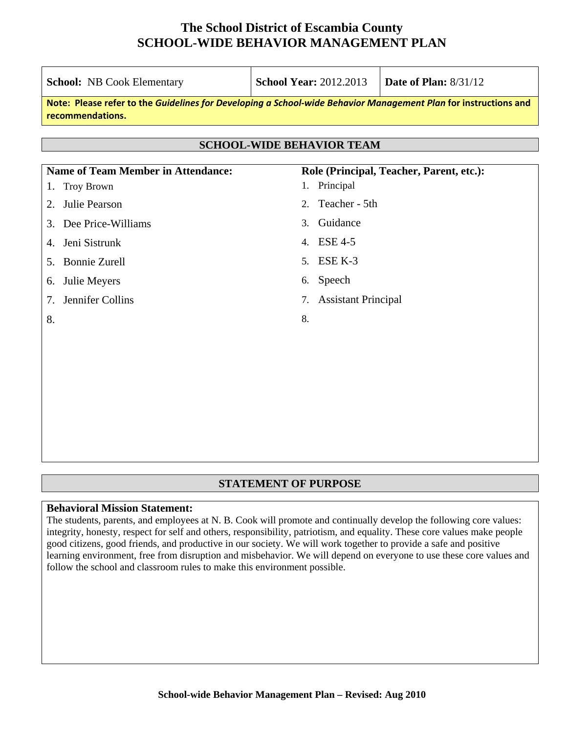| <b>School:</b> NB Cook Elementary                                                                                                   | <b>School Year: 2012.2013</b>    | <b>Date of Plan: 8/31/12</b>             |
|-------------------------------------------------------------------------------------------------------------------------------------|----------------------------------|------------------------------------------|
| Note: Please refer to the Guidelines for Developing a School-wide Behavior Management Plan for instructions and<br>recommendations. |                                  |                                          |
|                                                                                                                                     | <b>SCHOOL-WIDE BEHAVIOR TEAM</b> |                                          |
|                                                                                                                                     |                                  |                                          |
| <b>Name of Team Member in Attendance:</b><br>Troy Brown<br>$\mathbf{I}$ .                                                           | 1. Principal                     | Role (Principal, Teacher, Parent, etc.): |
| Julie Pearson<br>2.                                                                                                                 | Teacher - 5th<br>2.              |                                          |
| Dee Price-Williams<br>3.                                                                                                            | Guidance<br>3 <sub>1</sub>       |                                          |
| Jeni Sistrunk<br>4.                                                                                                                 | <b>ESE 4-5</b><br>4.             |                                          |
| 5. Bonnie Zurell                                                                                                                    | ESE K-3<br>5.                    |                                          |
| Julie Meyers<br>6.                                                                                                                  | Speech<br>6.                     |                                          |
| Jennifer Collins<br>$7_{\scriptscriptstyle{\ddots}}$                                                                                | <b>Assistant Principal</b><br>7. |                                          |
| 8.                                                                                                                                  | 8.                               |                                          |
|                                                                                                                                     |                                  |                                          |
|                                                                                                                                     |                                  |                                          |
|                                                                                                                                     |                                  |                                          |
|                                                                                                                                     |                                  |                                          |

### **STATEMENT OF PURPOSE**

#### **Behavioral Mission Statement:**

The students, parents, and employees at N. B. Cook will promote and continually develop the following core values: integrity, honesty, respect for self and others, responsibility, patriotism, and equality. These core values make people good citizens, good friends, and productive in our society. We will work together to provide a safe and positive learning environment, free from disruption and misbehavior. We will depend on everyone to use these core values and follow the school and classroom rules to make this environment possible.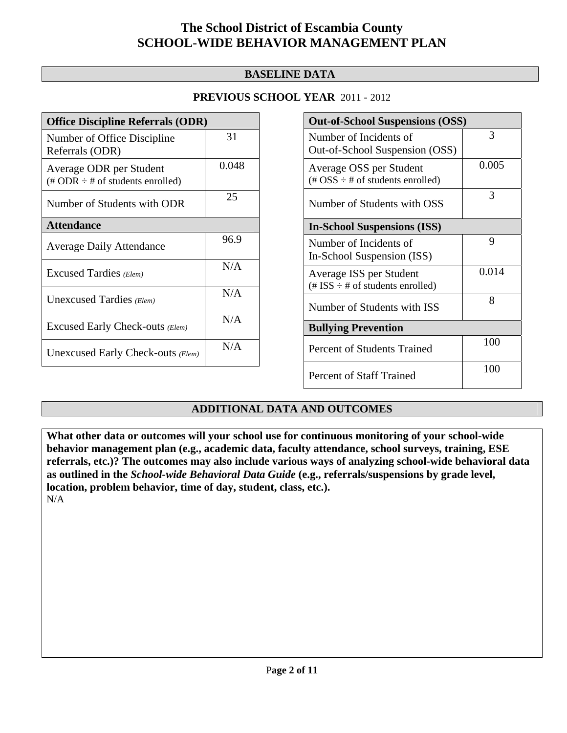### **BASELINE DATA**

### **PREVIOUS SCHOOL YEAR** 2011 - 2012

| <b>Office Discipline Referrals (ODR)</b>                                         |       |
|----------------------------------------------------------------------------------|-------|
| Number of Office Discipline<br>Referrals (ODR)                                   | 31    |
| Average ODR per Student<br>$(\text{\# ODR} \div \text{\# of students enrolled})$ | 0.048 |
| Number of Students with ODR                                                      | 25    |
| <b>Attendance</b>                                                                |       |
| <b>Average Daily Attendance</b>                                                  | 96.9  |
| Excused Tardies (Elem)                                                           | N/A   |
| Unexcused Tardies (Elem)                                                         | N/A   |
| Excused Early Check-outs (Elem)                                                  | N/A   |
| Unexcused Early Check-outs (Elem)                                                | N/A   |

| <b>Out-of-School Suspensions (OSS)</b>                                                          |       |  |  |  |  |
|-------------------------------------------------------------------------------------------------|-------|--|--|--|--|
| Number of Incidents of<br>Out-of-School Suspension (OSS)                                        | 3     |  |  |  |  |
| Average OSS per Student<br>$(\text{\#} \text{OSS} \div \text{\#} \text{ of students enrolled})$ | 0.005 |  |  |  |  |
| Number of Students with OSS                                                                     | 3     |  |  |  |  |
| <b>In-School Suspensions (ISS)</b>                                                              |       |  |  |  |  |
| Number of Incidents of<br>In-School Suspension (ISS)                                            | 9     |  |  |  |  |
| Average ISS per Student<br>(# ISS $\div$ # of students enrolled)                                | 0.014 |  |  |  |  |
| Number of Students with ISS                                                                     | 8     |  |  |  |  |
| <b>Bullying Prevention</b>                                                                      |       |  |  |  |  |
| Percent of Students Trained                                                                     | 100   |  |  |  |  |
| <b>Percent of Staff Trained</b>                                                                 | 100   |  |  |  |  |

### **ADDITIONAL DATA AND OUTCOMES**

**What other data or outcomes will your school use for continuous monitoring of your school-wide behavior management plan (e.g., academic data, faculty attendance, school surveys, training, ESE referrals, etc.)? The outcomes may also include various ways of analyzing school-wide behavioral data as outlined in the** *School-wide Behavioral Data Guide* **(e.g., referrals/suspensions by grade level, location, problem behavior, time of day, student, class, etc.).**

N/A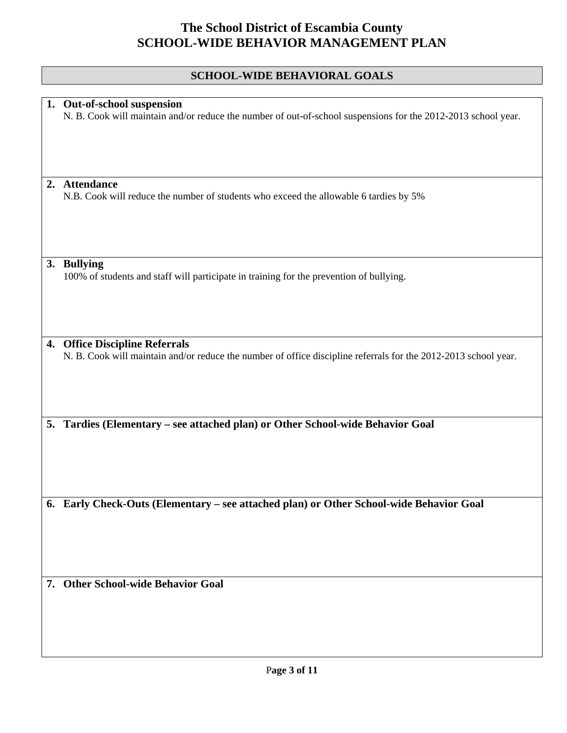## **SCHOOL-WIDE BEHAVIORAL GOALS**

| 1. Out-of-school suspension<br>N. B. Cook will maintain and/or reduce the number of out-of-school suspensions for the 2012-2013 school year.      |
|---------------------------------------------------------------------------------------------------------------------------------------------------|
|                                                                                                                                                   |
|                                                                                                                                                   |
| 2. Attendance<br>N.B. Cook will reduce the number of students who exceed the allowable 6 tardies by 5%                                            |
|                                                                                                                                                   |
|                                                                                                                                                   |
| <b>Bullying</b><br>3.<br>100% of students and staff will participate in training for the prevention of bullying.                                  |
|                                                                                                                                                   |
|                                                                                                                                                   |
| 4. Office Discipline Referrals<br>N. B. Cook will maintain and/or reduce the number of office discipline referrals for the 2012-2013 school year. |
|                                                                                                                                                   |
|                                                                                                                                                   |
| Tardies (Elementary - see attached plan) or Other School-wide Behavior Goal<br>5.                                                                 |
|                                                                                                                                                   |
|                                                                                                                                                   |
| Early Check-Outs (Elementary - see attached plan) or Other School-wide Behavior Goal<br>6.                                                        |
|                                                                                                                                                   |
|                                                                                                                                                   |
| 7. Other School-wide Behavior Goal                                                                                                                |
|                                                                                                                                                   |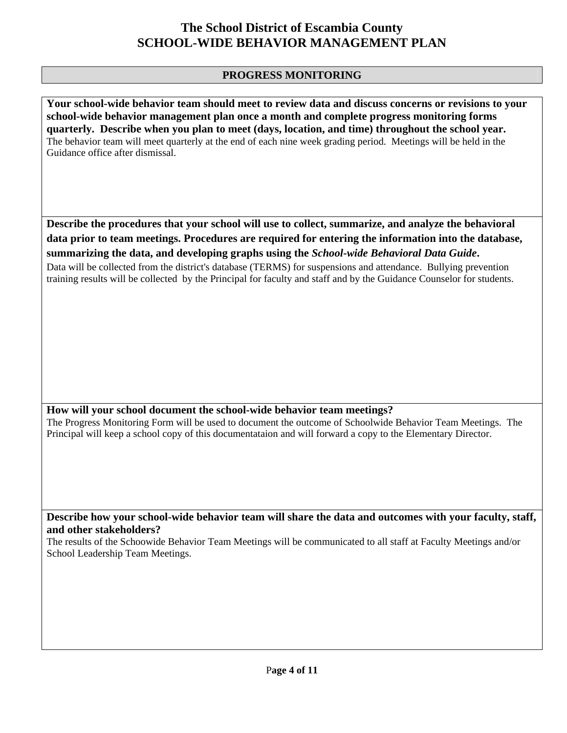### **PROGRESS MONITORING**

**Your school-wide behavior team should meet to review data and discuss concerns or revisions to your school-wide behavior management plan once a month and complete progress monitoring forms quarterly. Describe when you plan to meet (days, location, and time) throughout the school year.**  The behavior team will meet quarterly at the end of each nine week grading period. Meetings will be held in the Guidance office after dismissal.

**Describe the procedures that your school will use to collect, summarize, and analyze the behavioral data prior to team meetings. Procedures are required for entering the information into the database, summarizing the data, and developing graphs using the** *School-wide Behavioral Data Guide***.** 

Data will be collected from the district's database (TERMS) for suspensions and attendance. Bullying prevention training results will be collected by the Principal for faculty and staff and by the Guidance Counselor for students.

### **How will your school document the school-wide behavior team meetings?**

The Progress Monitoring Form will be used to document the outcome of Schoolwide Behavior Team Meetings. The Principal will keep a school copy of this documentataion and will forward a copy to the Elementary Director.

**Describe how your school-wide behavior team will share the data and outcomes with your faculty, staff, and other stakeholders?** 

The results of the Schoowide Behavior Team Meetings will be communicated to all staff at Faculty Meetings and/or School Leadership Team Meetings.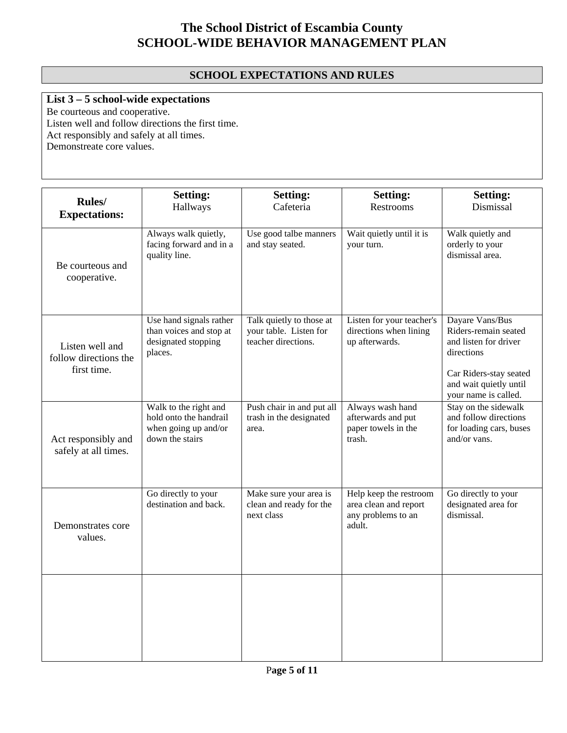### **SCHOOL EXPECTATIONS AND RULES**

### **List 3 – 5 school-wide expectations**

Be courteous and cooperative. Listen well and follow directions the first time. Act responsibly and safely at all times. Demonstreate core values.

| Rules/<br><b>Expectations:</b>                          | <b>Setting:</b><br>Hallways                                                                | <b>Setting:</b><br>Cafeteria                                              | <b>Setting:</b><br>Restrooms                                                    | <b>Setting:</b><br>Dismissal                                                                                                                               |
|---------------------------------------------------------|--------------------------------------------------------------------------------------------|---------------------------------------------------------------------------|---------------------------------------------------------------------------------|------------------------------------------------------------------------------------------------------------------------------------------------------------|
| Be courteous and<br>cooperative.                        | Always walk quietly,<br>facing forward and in a<br>quality line.                           | Use good talbe manners<br>and stay seated.                                | Wait quietly until it is<br>your turn.                                          | Walk quietly and<br>orderly to your<br>dismissal area.                                                                                                     |
| Listen well and<br>follow directions the<br>first time. | Use hand signals rather<br>than voices and stop at<br>designated stopping<br>places.       | Talk quietly to those at<br>your table. Listen for<br>teacher directions. | Listen for your teacher's<br>directions when lining<br>up afterwards.           | Dayare Vans/Bus<br>Riders-remain seated<br>and listen for driver<br>directions<br>Car Riders-stay seated<br>and wait quietly until<br>your name is called. |
| Act responsibly and<br>safely at all times.             | Walk to the right and<br>hold onto the handrail<br>when going up and/or<br>down the stairs | Push chair in and put all<br>trash in the designated<br>area.             | Always wash hand<br>afterwards and put<br>paper towels in the<br>trash.         | Stay on the sidewalk<br>and follow directions<br>for loading cars, buses<br>and/or vans.                                                                   |
| Demonstrates core<br>values.                            | Go directly to your<br>destination and back.                                               | Make sure your area is<br>clean and ready for the<br>next class           | Help keep the restroom<br>area clean and report<br>any problems to an<br>adult. | Go directly to your<br>designated area for<br>dismissal.                                                                                                   |
|                                                         |                                                                                            |                                                                           |                                                                                 |                                                                                                                                                            |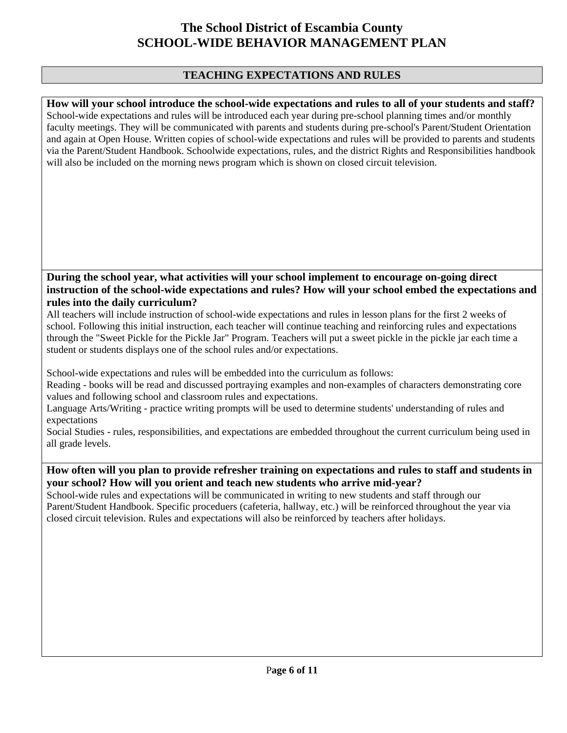### **TEACHING EXPECTATIONS AND RULES**

**How will your school introduce the school-wide expectations and rules to all of your students and staff?**  School-wide expectations and rules will be introduced each year during pre-school planning times and/or monthly faculty meetings. They will be communicated with parents and students during pre-school's Parent/Student Orientation and again at Open House. Written copies of school-wide expectations and rules will be provided to parents and students via the Parent/Student Handbook. Schoolwide expectations, rules, and the district Rights and Responsibilities handbook will also be included on the morning news program which is shown on closed circuit television.

#### **During the school year, what activities will your school implement to encourage on-going direct instruction of the school-wide expectations and rules? How will your school embed the expectations and rules into the daily curriculum?**

All teachers will include instruction of school-wide expectations and rules in lesson plans for the first 2 weeks of school. Following this initial instruction, each teacher will continue teaching and reinforcing rules and expectations through the "Sweet Pickle for the Pickle Jar" Program. Teachers will put a sweet pickle in the pickle jar each time a student or students displays one of the school rules and/or expectations.

School-wide expectations and rules will be embedded into the curriculum as follows:

Reading - books will be read and discussed portraying examples and non-examples of characters demonstrating core values and following school and classroom rules and expectations.

Language Arts/Writing - practice writing prompts will be used to determine students' understanding of rules and expectations

Social Studies - rules, responsibilities, and expectations are embedded throughout the current curriculum being used in all grade levels.

### **How often will you plan to provide refresher training on expectations and rules to staff and students in your school? How will you orient and teach new students who arrive mid-year?**

School-wide rules and expectations will be communicated in writing to new students and staff through our Parent/Student Handbook. Specific proceduers (cafeteria, hallway, etc.) will be reinforced throughout the year via closed circuit television. Rules and expectations will also be reinforced by teachers after holidays.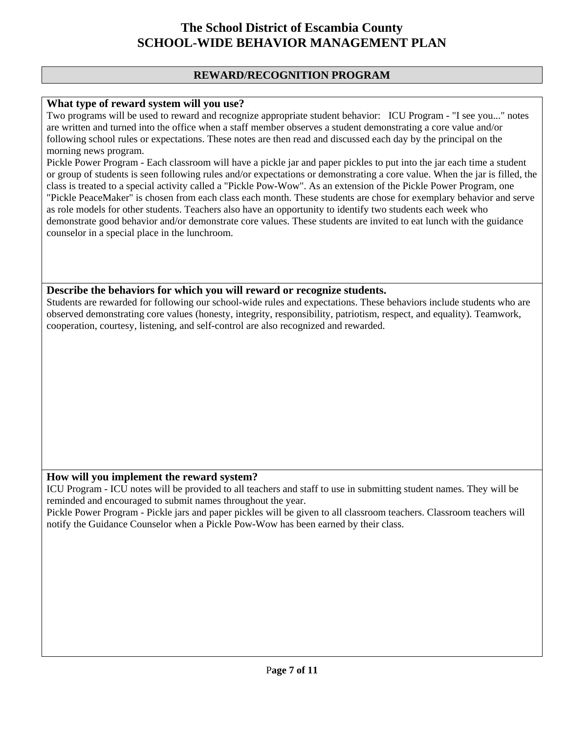### **REWARD/RECOGNITION PROGRAM**

#### **What type of reward system will you use?**

Two programs will be used to reward and recognize appropriate student behavior: ICU Program - "I see you..." notes are written and turned into the office when a staff member observes a student demonstrating a core value and/or following school rules or expectations. These notes are then read and discussed each day by the principal on the morning news program.

Pickle Power Program - Each classroom will have a pickle jar and paper pickles to put into the jar each time a student or group of students is seen following rules and/or expectations or demonstrating a core value. When the jar is filled, the class is treated to a special activity called a "Pickle Pow-Wow". As an extension of the Pickle Power Program, one "Pickle PeaceMaker" is chosen from each class each month. These students are chose for exemplary behavior and serve as role models for other students. Teachers also have an opportunity to identify two students each week who demonstrate good behavior and/or demonstrate core values. These students are invited to eat lunch with the guidance counselor in a special place in the lunchroom.

#### **Describe the behaviors for which you will reward or recognize students.**

Students are rewarded for following our school-wide rules and expectations. These behaviors include students who are observed demonstrating core values (honesty, integrity, responsibility, patriotism, respect, and equality). Teamwork, cooperation, courtesy, listening, and self-control are also recognized and rewarded.

#### **How will you implement the reward system?**

ICU Program - ICU notes will be provided to all teachers and staff to use in submitting student names. They will be reminded and encouraged to submit names throughout the year.

Pickle Power Program - Pickle jars and paper pickles will be given to all classroom teachers. Classroom teachers will notify the Guidance Counselor when a Pickle Pow-Wow has been earned by their class.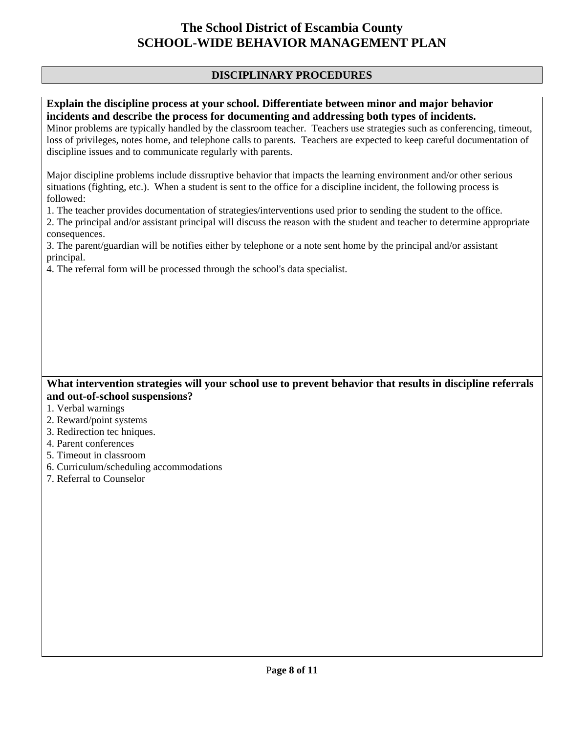### **DISCIPLINARY PROCEDURES**

### **Explain the discipline process at your school. Differentiate between minor and major behavior incidents and describe the process for documenting and addressing both types of incidents.**

Minor problems are typically handled by the classroom teacher. Teachers use strategies such as conferencing, timeout, loss of privileges, notes home, and telephone calls to parents. Teachers are expected to keep careful documentation of discipline issues and to communicate regularly with parents.

Major discipline problems include dissruptive behavior that impacts the learning environment and/or other serious situations (fighting, etc.). When a student is sent to the office for a discipline incident, the following process is followed:

1. The teacher provides documentation of strategies/interventions used prior to sending the student to the office.

2. The principal and/or assistant principal will discuss the reason with the student and teacher to determine appropriate consequences.

3. The parent/guardian will be notifies either by telephone or a note sent home by the principal and/or assistant principal.

4. The referral form will be processed through the school's data specialist.

### **What intervention strategies will your school use to prevent behavior that results in discipline referrals and out-of-school suspensions?**

- 1. Verbal warnings
- 2. Reward/point systems
- 3. Redirection tec hniques.
- 4. Parent conferences
- 5. Timeout in classroom
- 6. Curriculum/scheduling accommodations
- 7. Referral to Counselor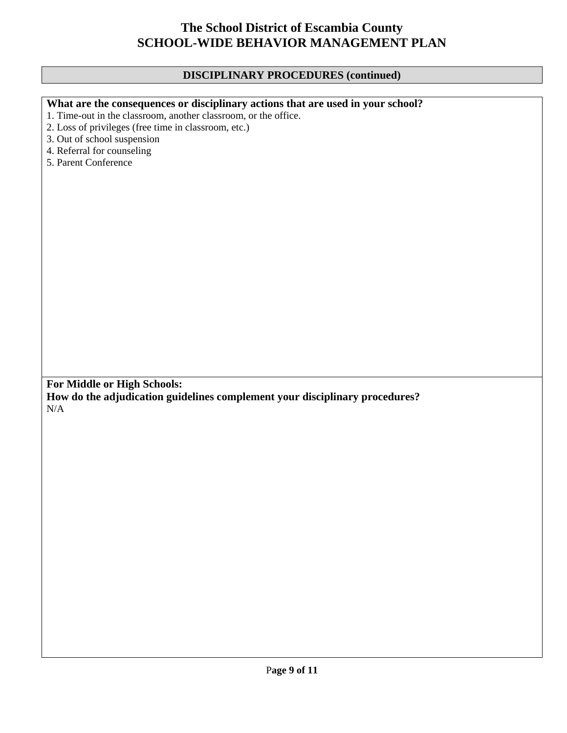### **DISCIPLINARY PROCEDURES (continued)**

| What are the consequences or disciplinary actions that are used in your school? |
|---------------------------------------------------------------------------------|
|---------------------------------------------------------------------------------|

1. Time-out in the classroom, another classroom, or the office.

2. Loss of privileges (free time in classroom, etc.)

3. Out of school suspension

4. Referral for counseling

5. Parent Conference

**For Middle or High Schools:** 

**How do the adjudication guidelines complement your disciplinary procedures?**  N/A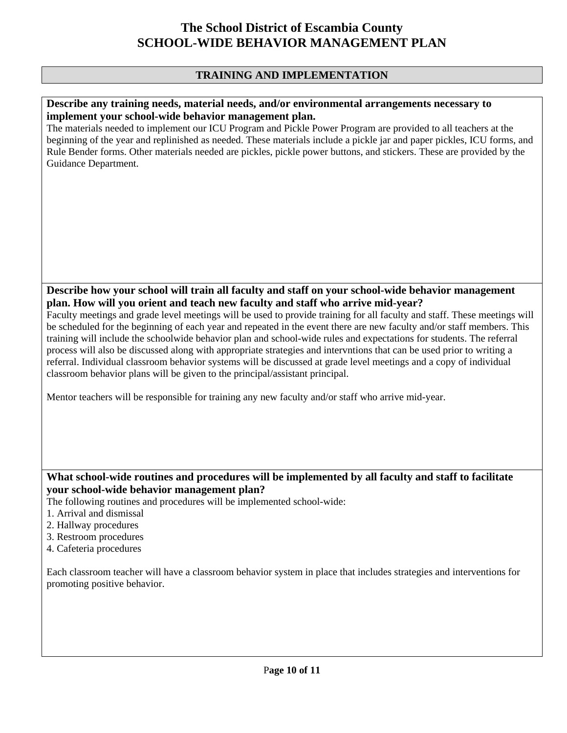### **TRAINING AND IMPLEMENTATION**

#### **Describe any training needs, material needs, and/or environmental arrangements necessary to implement your school-wide behavior management plan.**

The materials needed to implement our ICU Program and Pickle Power Program are provided to all teachers at the beginning of the year and replinished as needed. These materials include a pickle jar and paper pickles, ICU forms, and Rule Bender forms. Other materials needed are pickles, pickle power buttons, and stickers. These are provided by the Guidance Department.

### **Describe how your school will train all faculty and staff on your school-wide behavior management plan. How will you orient and teach new faculty and staff who arrive mid-year?**

Faculty meetings and grade level meetings will be used to provide training for all faculty and staff. These meetings will be scheduled for the beginning of each year and repeated in the event there are new faculty and/or staff members. This training will include the schoolwide behavior plan and school-wide rules and expectations for students. The referral process will also be discussed along with appropriate strategies and intervntions that can be used prior to writing a referral. Individual classroom behavior systems will be discussed at grade level meetings and a copy of individual classroom behavior plans will be given to the principal/assistant principal.

Mentor teachers will be responsible for training any new faculty and/or staff who arrive mid-year.

### **What school-wide routines and procedures will be implemented by all faculty and staff to facilitate your school-wide behavior management plan?**

The following routines and procedures will be implemented school-wide:

- 1. Arrival and dismissal
- 2. Hallway procedures
- 3. Restroom procedures
- 4. Cafeteria procedures

Each classroom teacher will have a classroom behavior system in place that includes strategies and interventions for promoting positive behavior.